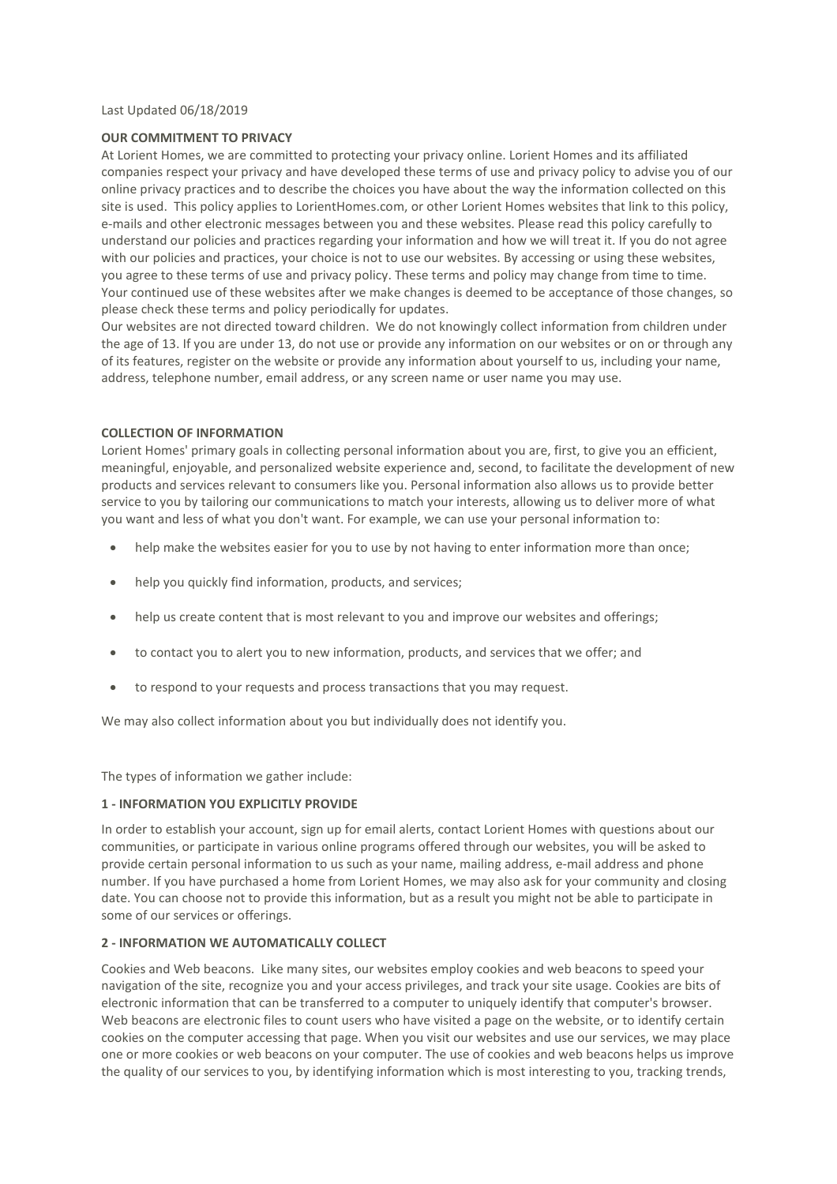#### Last Updated 06/18/2019

### **OUR COMMITMENT TO PRIVACY**

At Lorient Homes, we are committed to protecting your privacy online. Lorient Homes and its affiliated companies respect your privacy and have developed these terms of use and privacy policy to advise you of our online privacy practices and to describe the choices you have about the way the information collected on this site is used. This policy applies to LorientHomes.com, or other Lorient Homes websites that link to this policy, e-mails and other electronic messages between you and these websites. Please read this policy carefully to understand our policies and practices regarding your information and how we will treat it. If you do not agree with our policies and practices, your choice is not to use our websites. By accessing or using these websites, you agree to these terms of use and privacy policy. These terms and policy may change from time to time. Your continued use of these websites after we make changes is deemed to be acceptance of those changes, so please check these terms and policy periodically for updates.

Our websites are not directed toward children. We do not knowingly collect information from children under the age of 13. If you are under 13, do not use or provide any information on our websites or on or through any of its features, register on the website or provide any information about yourself to us, including your name, address, telephone number, email address, or any screen name or user name you may use.

### **COLLECTION OF INFORMATION**

Lorient Homes' primary goals in collecting personal information about you are, first, to give you an efficient, meaningful, enjoyable, and personalized website experience and, second, to facilitate the development of new products and services relevant to consumers like you. Personal information also allows us to provide better service to you by tailoring our communications to match your interests, allowing us to deliver more of what you want and less of what you don't want. For example, we can use your personal information to:

- help make the websites easier for you to use by not having to enter information more than once;
- help you quickly find information, products, and services;
- help us create content that is most relevant to you and improve our websites and offerings;
- to contact you to alert you to new information, products, and services that we offer; and
- to respond to your requests and process transactions that you may request.

We may also collect information about you but individually does not identify you.

The types of information we gather include:

### **1 - INFORMATION YOU EXPLICITLY PROVIDE**

In order to establish your account, sign up for email alerts, contact Lorient Homes with questions about our communities, or participate in various online programs offered through our websites, you will be asked to provide certain personal information to us such as your name, mailing address, e-mail address and phone number. If you have purchased a home from Lorient Homes, we may also ask for your community and closing date. You can choose not to provide this information, but as a result you might not be able to participate in some of our services or offerings.

### **2 - INFORMATION WE AUTOMATICALLY COLLECT**

Cookies and Web beacons. Like many sites, our websites employ cookies and web beacons to speed your navigation of the site, recognize you and your access privileges, and track your site usage. Cookies are bits of electronic information that can be transferred to a computer to uniquely identify that computer's browser. Web beacons are electronic files to count users who have visited a page on the website, or to identify certain cookies on the computer accessing that page. When you visit our websites and use our services, we may place one or more cookies or web beacons on your computer. The use of cookies and web beacons helps us improve the quality of our services to you, by identifying information which is most interesting to you, tracking trends,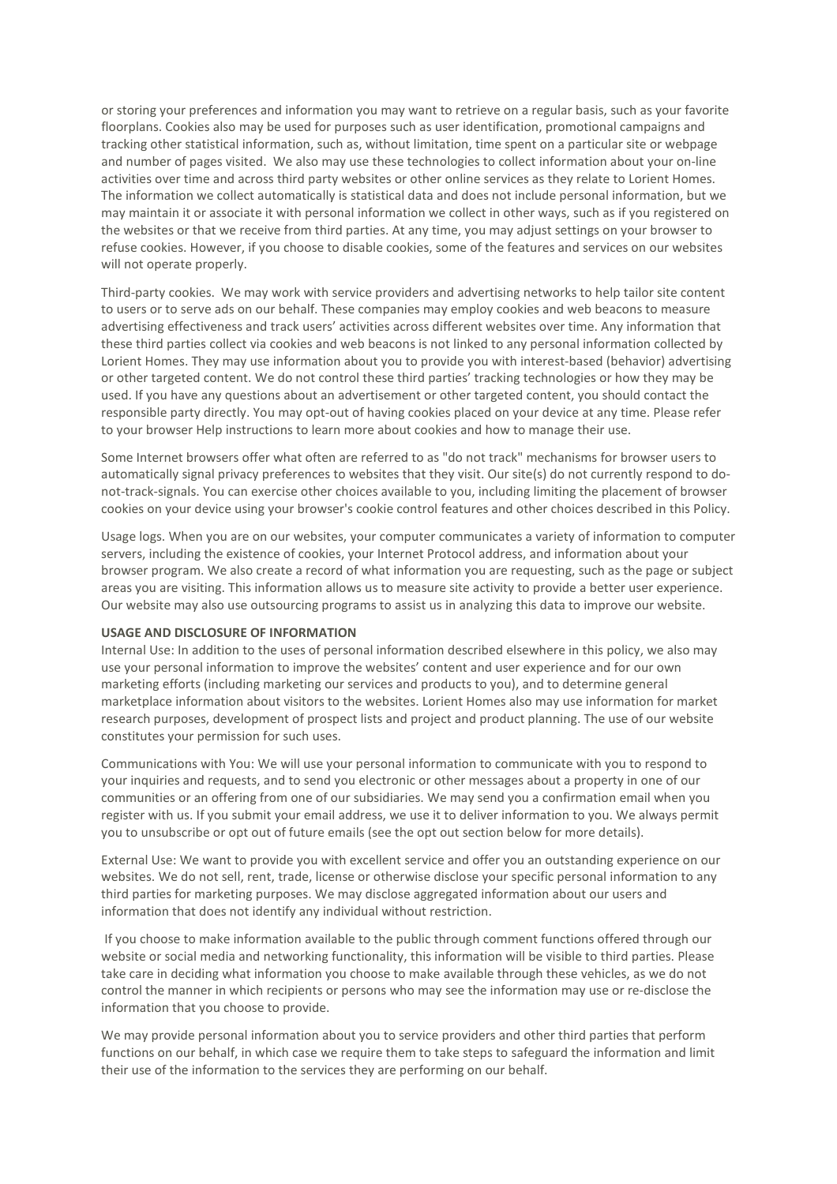or storing your preferences and information you may want to retrieve on a regular basis, such as your favorite floorplans. Cookies also may be used for purposes such as user identification, promotional campaigns and tracking other statistical information, such as, without limitation, time spent on a particular site or webpage and number of pages visited. We also may use these technologies to collect information about your on-line activities over time and across third party websites or other online services as they relate to Lorient Homes. The information we collect automatically is statistical data and does not include personal information, but we may maintain it or associate it with personal information we collect in other ways, such as if you registered on the websites or that we receive from third parties. At any time, you may adjust settings on your browser to refuse cookies. However, if you choose to disable cookies, some of the features and services on our websites will not operate properly.

Third-party cookies. We may work with service providers and advertising networks to help tailor site content to users or to serve ads on our behalf. These companies may employ cookies and web beacons to measure advertising effectiveness and track users' activities across different websites over time. Any information that these third parties collect via cookies and web beacons is not linked to any personal information collected by Lorient Homes. They may use information about you to provide you with interest-based (behavior) advertising or other targeted content. We do not control these third parties' tracking technologies or how they may be used. If you have any questions about an advertisement or other targeted content, you should contact the responsible party directly. You may opt-out of having cookies placed on your device at any time. Please refer to your browser Help instructions to learn more about cookies and how to manage their use.

Some Internet browsers offer what often are referred to as "do not track" mechanisms for browser users to automatically signal privacy preferences to websites that they visit. Our site(s) do not currently respond to donot-track-signals. You can exercise other choices available to you, including limiting the placement of browser cookies on your device using your browser's cookie control features and other choices described in this Policy.

Usage logs. When you are on our websites, your computer communicates a variety of information to computer servers, including the existence of cookies, your Internet Protocol address, and information about your browser program. We also create a record of what information you are requesting, such as the page or subject areas you are visiting. This information allows us to measure site activity to provide a better user experience. Our website may also use outsourcing programs to assist us in analyzing this data to improve our website.

# **USAGE AND DISCLOSURE OF INFORMATION**

Internal Use: In addition to the uses of personal information described elsewhere in this policy, we also may use your personal information to improve the websites' content and user experience and for our own marketing efforts (including marketing our services and products to you), and to determine general marketplace information about visitors to the websites. Lorient Homes also may use information for market research purposes, development of prospect lists and project and product planning. The use of our website constitutes your permission for such uses.

Communications with You: We will use your personal information to communicate with you to respond to your inquiries and requests, and to send you electronic or other messages about a property in one of our communities or an offering from one of our subsidiaries. We may send you a confirmation email when you register with us. If you submit your email address, we use it to deliver information to you. We always permit you to unsubscribe or opt out of future emails (see the opt out section below for more details).

External Use: We want to provide you with excellent service and offer you an outstanding experience on our websites. We do not sell, rent, trade, license or otherwise disclose your specific personal information to any third parties for marketing purposes. We may disclose aggregated information about our users and information that does not identify any individual without restriction.

If you choose to make information available to the public through comment functions offered through our website or social media and networking functionality, this information will be visible to third parties. Please take care in deciding what information you choose to make available through these vehicles, as we do not control the manner in which recipients or persons who may see the information may use or re-disclose the information that you choose to provide.

We may provide personal information about you to service providers and other third parties that perform functions on our behalf, in which case we require them to take steps to safeguard the information and limit their use of the information to the services they are performing on our behalf.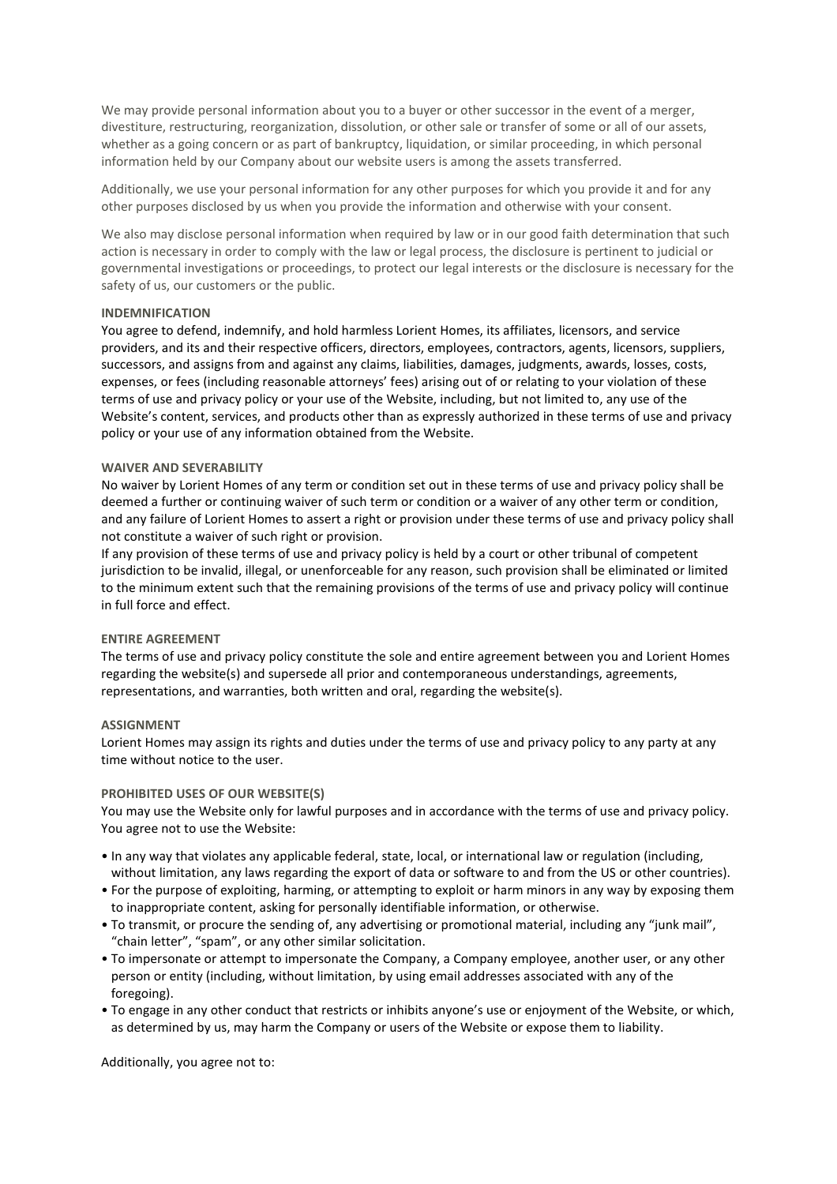We may provide personal information about you to a buyer or other successor in the event of a merger, divestiture, restructuring, reorganization, dissolution, or other sale or transfer of some or all of our assets, whether as a going concern or as part of bankruptcy, liquidation, or similar proceeding, in which personal information held by our Company about our website users is among the assets transferred.

Additionally, we use your personal information for any other purposes for which you provide it and for any other purposes disclosed by us when you provide the information and otherwise with your consent.

We also may disclose personal information when required by law or in our good faith determination that such action is necessary in order to comply with the law or legal process, the disclosure is pertinent to judicial or governmental investigations or proceedings, to protect our legal interests or the disclosure is necessary for the safety of us, our customers or the public.

## **INDEMNIFICATION**

You agree to defend, indemnify, and hold harmless Lorient Homes, its affiliates, licensors, and service providers, and its and their respective officers, directors, employees, contractors, agents, licensors, suppliers, successors, and assigns from and against any claims, liabilities, damages, judgments, awards, losses, costs, expenses, or fees (including reasonable attorneys' fees) arising out of or relating to your violation of these terms of use and privacy policy or your use of the Website, including, but not limited to, any use of the Website's content, services, and products other than as expressly authorized in these terms of use and privacy policy or your use of any information obtained from the Website.

## **WAIVER AND SEVERABILITY**

No waiver by Lorient Homes of any term or condition set out in these terms of use and privacy policy shall be deemed a further or continuing waiver of such term or condition or a waiver of any other term or condition, and any failure of Lorient Homes to assert a right or provision under these terms of use and privacy policy shall not constitute a waiver of such right or provision.

If any provision of these terms of use and privacy policy is held by a court or other tribunal of competent jurisdiction to be invalid, illegal, or unenforceable for any reason, such provision shall be eliminated or limited to the minimum extent such that the remaining provisions of the terms of use and privacy policy will continue in full force and effect.

# **ENTIRE AGREEMENT**

The terms of use and privacy policy constitute the sole and entire agreement between you and Lorient Homes regarding the website(s) and supersede all prior and contemporaneous understandings, agreements, representations, and warranties, both written and oral, regarding the website(s).

### **ASSIGNMENT**

Lorient Homes may assign its rights and duties under the terms of use and privacy policy to any party at any time without notice to the user.

# **PROHIBITED USES OF OUR WEBSITE(S)**

You may use the Website only for lawful purposes and in accordance with the terms of use and privacy policy. You agree not to use the Website:

- In any way that violates any applicable federal, state, local, or international law or regulation (including, without limitation, any laws regarding the export of data or software to and from the US or other countries).
- For the purpose of exploiting, harming, or attempting to exploit or harm minors in any way by exposing them to inappropriate content, asking for personally identifiable information, or otherwise.
- To transmit, or procure the sending of, any advertising or promotional material, including any "junk mail", "chain letter", "spam", or any other similar solicitation.
- To impersonate or attempt to impersonate the Company, a Company employee, another user, or any other person or entity (including, without limitation, by using email addresses associated with any of the foregoing).
- To engage in any other conduct that restricts or inhibits anyone's use or enjoyment of the Website, or which, as determined by us, may harm the Company or users of the Website or expose them to liability.

Additionally, you agree not to: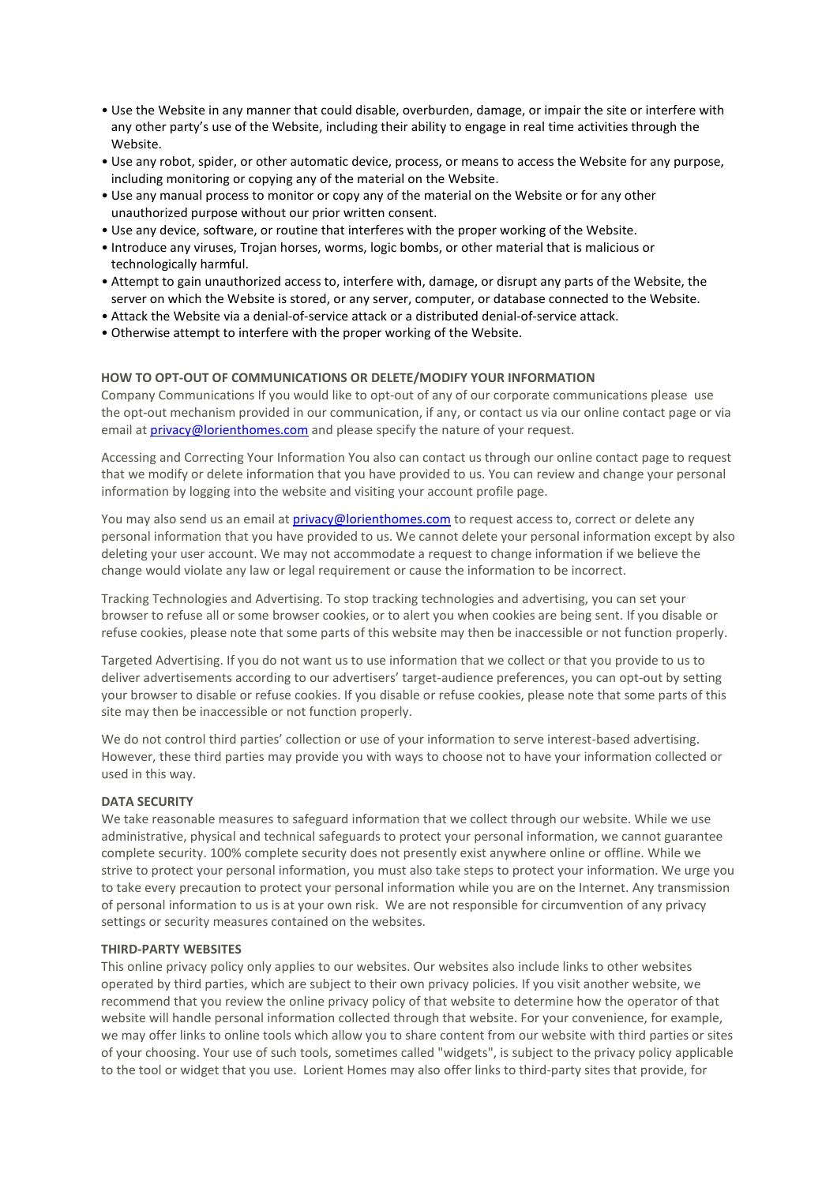- Use the Website in any manner that could disable, overburden, damage, or impair the site or interfere with any other party's use of the Website, including their ability to engage in real time activities through the Website.
- Use any robot, spider, or other automatic device, process, or means to access the Website for any purpose, including monitoring or copying any of the material on the Website.
- Use any manual process to monitor or copy any of the material on the Website or for any other unauthorized purpose without our prior written consent.
- Use any device, software, or routine that interferes with the proper working of the Website.
- Introduce any viruses, Trojan horses, worms, logic bombs, or other material that is malicious or technologically harmful.
- Attempt to gain unauthorized access to, interfere with, damage, or disrupt any parts of the Website, the server on which the Website is stored, or any server, computer, or database connected to the Website.
- Attack the Website via a denial-of-service attack or a distributed denial-of-service attack.
- Otherwise attempt to interfere with the proper working of the Website.

### **HOW TO OPT-OUT OF COMMUNICATIONS OR DELETE/MODIFY YOUR INFORMATION**

Company Communications If you would like to opt-out of any of our corporate communications please use the opt-out mechanism provided in our communication, if any, or contact us via our online contact page or via email at [privacy@lorienthomes.com](mailto:privacy@lorienthomes.com) and please specify the nature of your request.

Accessing and Correcting Your Information You also can contact us through our online contact page to request that we modify or delete information that you have provided to us. You can review and change your personal information by logging into the website and visiting your account profile page.

You may also send us an email at [privacy@lorienthomes.com](mailto:privacy@lorienthomes.com) to request access to, correct or delete any personal information that you have provided to us. We cannot delete your personal information except by also deleting your user account. We may not accommodate a request to change information if we believe the change would violate any law or legal requirement or cause the information to be incorrect.

Tracking Technologies and Advertising. To stop tracking technologies and advertising, you can set your browser to refuse all or some browser cookies, or to alert you when cookies are being sent. If you disable or refuse cookies, please note that some parts of this website may then be inaccessible or not function properly.

Targeted Advertising. If you do not want us to use information that we collect or that you provide to us to deliver advertisements according to our advertisers' target-audience preferences, you can opt-out by setting your browser to disable or refuse cookies. If you disable or refuse cookies, please note that some parts of this site may then be inaccessible or not function properly.

We do not control third parties' collection or use of your information to serve interest-based advertising. However, these third parties may provide you with ways to choose not to have your information collected or used in this way.

#### **DATA SECURITY**

We take reasonable measures to safeguard information that we collect through our website. While we use administrative, physical and technical safeguards to protect your personal information, we cannot guarantee complete security. 100% complete security does not presently exist anywhere online or offline. While we strive to protect your personal information, you must also take steps to protect your information. We urge you to take every precaution to protect your personal information while you are on the Internet. Any transmission of personal information to us is at your own risk. We are not responsible for circumvention of any privacy settings or security measures contained on the websites.

#### **THIRD-PARTY WEBSITES**

This online privacy policy only applies to our websites. Our websites also include links to other websites operated by third parties, which are subject to their own privacy policies. If you visit another website, we recommend that you review the online privacy policy of that website to determine how the operator of that website will handle personal information collected through that website. For your convenience, for example, we may offer links to online tools which allow you to share content from our website with third parties or sites of your choosing. Your use of such tools, sometimes called "widgets", is subject to the privacy policy applicable to the tool or widget that you use. Lorient Homes may also offer links to third-party sites that provide, for